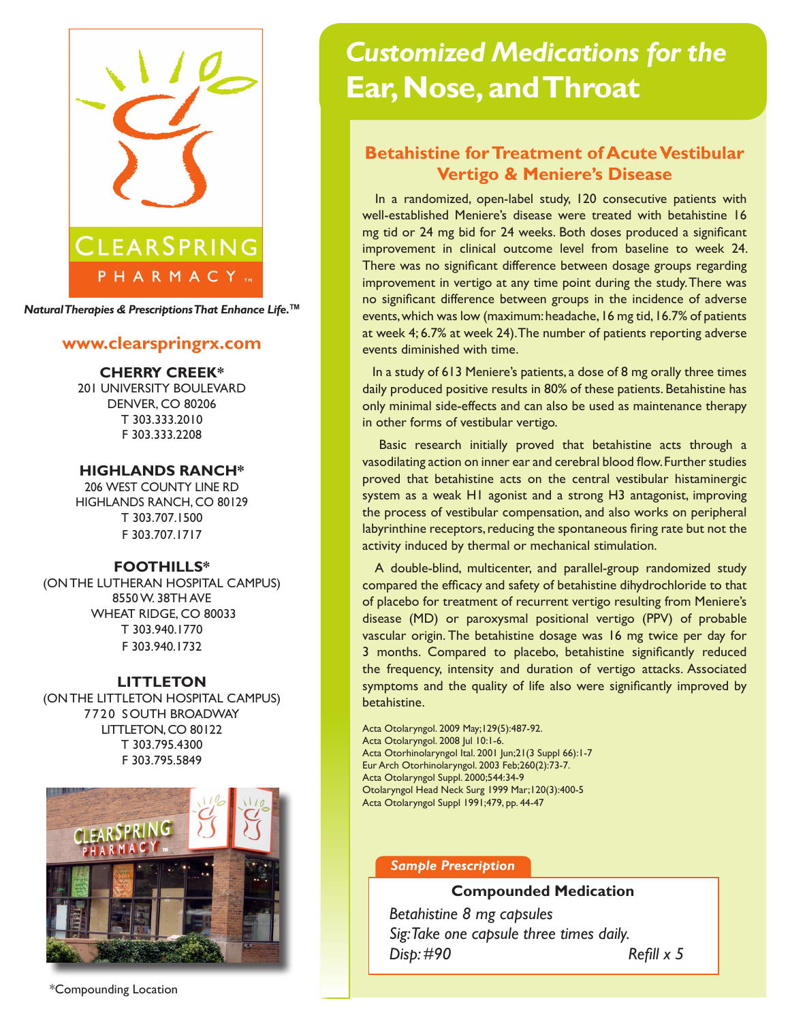

*Natural Therapies & Prescriptions That Enhance Life.***TM**

## **www.clearspringrx.com**

**CHERRY CREEK\*** 201 UNIVERSITY BOULEVARD DENVER, CO 80206 T 303.333.2010 F 303.333.2208

## **HIGHLANDS RANCH\***

206 WEST COUNTY LINE RD HIGHLANDS RANCH, CO 80129 T 303.707.1500 F 303.707.1717

## **FOOTHILLS\***

(ON THE LUTHERAN HOSPITAL CAMPUS) 8550 W. 38TH AVE WHEAT RIDGE, CO 80033 T 303.940.1770 F 303.940.1732

#### **LITTLETON**

(ON THE LITTLETON HOSPITAL CAMPUS) 7720 SOUTH BROADWAY LITTLETON, CO 80122 T 303.795.4300 F 303.795.5849



# *Customized Medications for the* **Ear, Nose, and Throat**

# **Betahistine for Treatment of Acute Vestibular Vertigo & Meniere's Disease**

 In a randomized, open-label study, 120 consecutive patients with well-established Meniere's disease were treated with betahistine 16 mg tid or 24 mg bid for 24 weeks. Both doses produced a significant improvement in clinical outcome level from baseline to week 24. There was no significant difference between dosage groups regarding improvement in vertigo at any time point during the study. There was no significant difference between groups in the incidence of adverse events, which was low (maximum: headache, 16 mg tid, 16.7% of patients at week 4; 6.7% at week 24). The number of patients reporting adverse events diminished with time.

 In a study of 613 Meniere's patients, a dose of 8 mg orally three times daily produced positive results in 80% of these patients. Betahistine has only minimal side-effects and can also be used as maintenance therapy in other forms of vestibular vertigo.

 Basic research initially proved that betahistine acts through a vasodilating action on inner ear and cerebral blood flow. Further studies proved that betahistine acts on the central vestibular histaminergic system as a weak H1 agonist and a strong H3 antagonist, improving the process of vestibular compensation, and also works on peripheral labyrinthine receptors, reducing the spontaneous firing rate but not the activity induced by thermal or mechanical stimulation.

 A double-blind, multicenter, and parallel-group randomized study compared the efficacy and safety of betahistine dihydrochloride to that of placebo for treatment of recurrent vertigo resulting from Meniere's disease (MD) or paroxysmal positional vertigo (PPV) of probable vascular origin. The betahistine dosage was 16 mg twice per day for 3 months. Compared to placebo, betahistine significantly reduced the frequency, intensity and duration of vertigo attacks. Associated symptoms and the quality of life also were significantly improved by betahistine.

Acta Otolaryngol. 2009 May;129(5):487-92. Acta Otolaryngol. 2008 Jul 10:1-6. Acta Otorhinolaryngol Ital. 2001 Jun;21(3 Suppl 66):1-7 Eur Arch Otorhinolaryngol. 2003 Feb;260(2):73-7. Acta Otolaryngol Suppl. 2000;544:34-9 Otolaryngol Head Neck Surg 1999 Mar;120(3):400-5 Acta Otolaryngol Suppl 1991;479, pp. 44-47

#### *Sample Prescription*

#### **Compounded Medication**

*Betahistine 8 mg capsules Sig: Take one capsule three times daily. Disp: #90 Refill x 5*

\*Compounding Location